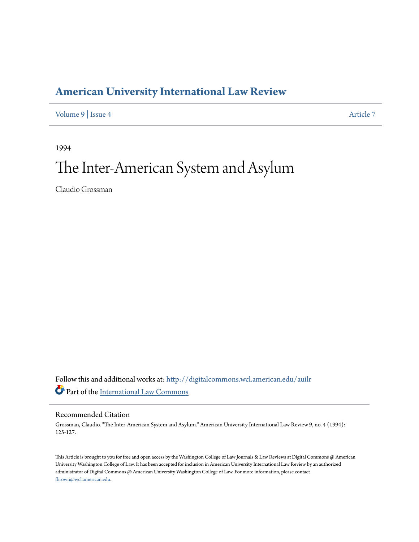## **[American University International Law Review](http://digitalcommons.wcl.american.edu/auilr?utm_source=digitalcommons.wcl.american.edu%2Fauilr%2Fvol9%2Fiss4%2F7&utm_medium=PDF&utm_campaign=PDFCoverPages)**

[Volume 9](http://digitalcommons.wcl.american.edu/auilr/vol9?utm_source=digitalcommons.wcl.american.edu%2Fauilr%2Fvol9%2Fiss4%2F7&utm_medium=PDF&utm_campaign=PDFCoverPages) | [Issue 4](http://digitalcommons.wcl.american.edu/auilr/vol9/iss4?utm_source=digitalcommons.wcl.american.edu%2Fauilr%2Fvol9%2Fiss4%2F7&utm_medium=PDF&utm_campaign=PDFCoverPages) [Article 7](http://digitalcommons.wcl.american.edu/auilr/vol9/iss4/7?utm_source=digitalcommons.wcl.american.edu%2Fauilr%2Fvol9%2Fiss4%2F7&utm_medium=PDF&utm_campaign=PDFCoverPages)

1994

# The Inter-American System and Asylum

Claudio Grossman

Follow this and additional works at: [http://digitalcommons.wcl.american.edu/auilr](http://digitalcommons.wcl.american.edu/auilr?utm_source=digitalcommons.wcl.american.edu%2Fauilr%2Fvol9%2Fiss4%2F7&utm_medium=PDF&utm_campaign=PDFCoverPages) Part of the [International Law Commons](http://network.bepress.com/hgg/discipline/609?utm_source=digitalcommons.wcl.american.edu%2Fauilr%2Fvol9%2Fiss4%2F7&utm_medium=PDF&utm_campaign=PDFCoverPages)

#### Recommended Citation

Grossman, Claudio. "The Inter-American System and Asylum." American University International Law Review 9, no. 4 (1994): 125-127.

This Article is brought to you for free and open access by the Washington College of Law Journals & Law Reviews at Digital Commons @ American University Washington College of Law. It has been accepted for inclusion in American University International Law Review by an authorized administrator of Digital Commons @ American University Washington College of Law. For more information, please contact [fbrown@wcl.american.edu](mailto:fbrown@wcl.american.edu).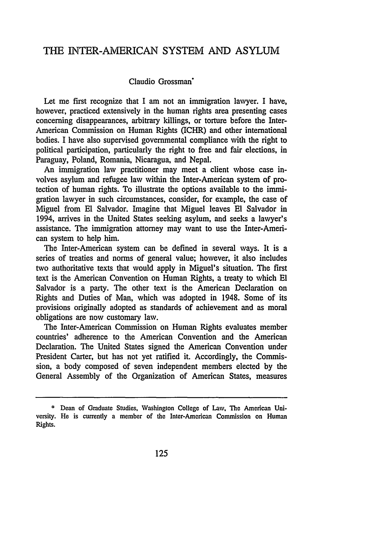### THE INTER-AMERICAN SYSTEM AND ASYLUM

#### Claudio Grossman'

Let me first recognize that I am not an immigration lawyer. I have, however, practiced extensively in the human rights area presenting cases concerning disappearances, arbitrary killings, or torture before the Inter-American Commission on Human Rights (ICHR) and other international bodies. I have also supervised governmental compliance with the right to political participation, particularly the right to free and fair elections, in Paraguay, Poland, Romania, Nicaragua, and Nepal.

An immigration law practitioner may meet a client whose case involves asylum and refugee law within the Inter-American system of protection of human rights. To illustrate the options available to the immigration lawyer in such circumstances, consider, for example, the case of Miguel from El Salvador. Imagine that Miguel leaves El Salvador in 1994, arrives in the United States seeking asylum, and seeks a lawyer's assistance. The immigration attorney may want to use the Inter-American system to help him.

The Inter-American system can be defined in several ways. It is a series of treaties and norms of general value; however, it also includes two authoritative texts that would apply in Miguel's situation. The first text is the American Convention on Human Rights, a treaty to which El Salvador is a party. The other text is the American Declaration on Rights and Duties of Man, which was adopted in 1948. Some of its provisions originally adopted as standards of achievement and as moral obligations are now customary law.

The Inter-American Commission on Human Rights evaluates member countries' adherence to the American Convention and the American Declaration. The United States signed the American Convention under President Carter, but has not yet ratified it. Accordingly, the Commission, a body composed of seven independent members elected by the General Assembly of the Organization of American States, measures

<sup>\*</sup> Dean of Graduate Studies, Washington College of Law, The American University. He is currently a member of the Inter-American Commission on Human Rights.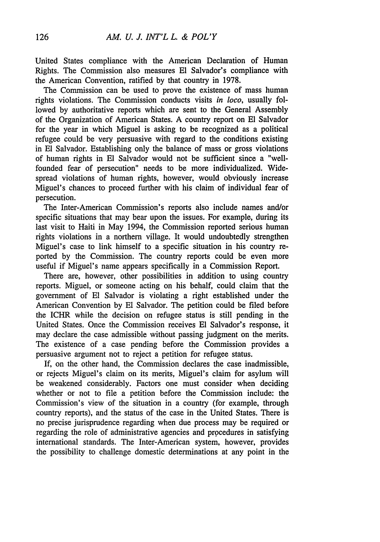United States compliance with the American Declaration of Human Rights. The Commission also measures **El** Salvador's compliance with the American Convention, ratified by that country in 1978.

The Commission can be used to prove the existence of mass human rights violations. The Commission conducts visits *in loco,* usually followed by authoritative reports which are sent to the General Assembly of the Organization of American States. A country report on **El** Salvador for the year in which Miguel is asking to be recognized as a political refugee could be very persuasive with regard to the conditions existing in El Salvador. Establishing only the balance of mass or gross violations of human rights in **El** Salvador would not be sufficient since a "wellfounded fear of persecution" needs to be more individualized. Widespread violations of human rights, however, would obviously increase Miguel's chances to proceed further with his claim of individual fear of persecution.

The Inter-American Commission's reports also include names and/or specific situations that may bear upon the issues. For example, during its last visit to Haiti in May 1994, the Commission reported serious human rights violations in a northern village. It would undoubtedly strengthen Miguel's case to link himself to a specific situation in his country reported by the Commission. The country reports could be even more useful if Miguel's name appears specifically in a Commission Report.

There are, however, other possibilities in addition to using country reports. Miguel, or someone acting on his behalf, could claim that the government of **El** Salvador is violating a right established under the American Convention by El Salvador. The petition could be filed before the ICHR while the decision on refugee status is still pending in the United States. Once the Commission receives **El** Salvador's response, it may declare the case admissible without passing judgment on the merits. The existence of a case pending before the Commission provides a persuasive argument not to reject a petition for refugee status.

If, on the other hand, the Commission declares the case inadmissible, or rejects Miguel's claim on its merits, Miguel's claim for asylum will be weakened considerably. Factors one must consider when deciding whether or not to file a petition before the Commission include: the Commission's view of the situation in a country (for example, through country reports), and the status of the case in the United States. There is no precise jurisprudence regarding when due process may be required or regarding the role of administrative agencies and procedures in satisfying international standards. The Inter-American system, however, provides the possibility to challenge domestic determinations at any point in the